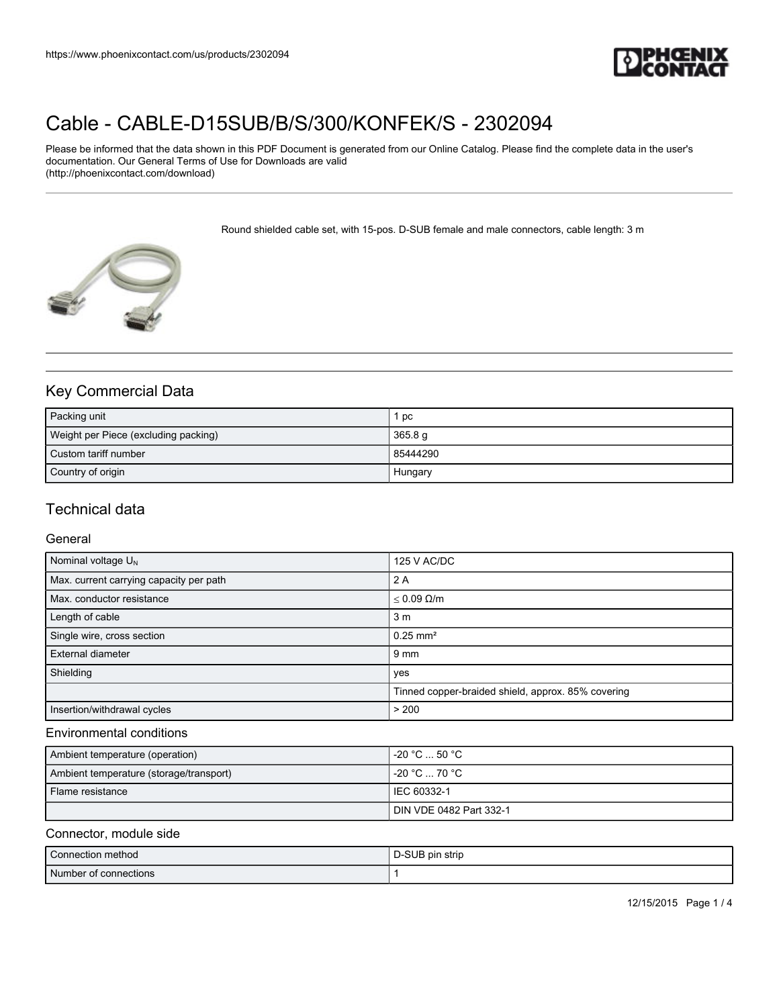

# [Cable - CABLE-D15SUB/B/S/300/KONFEK/S - 2302094](https://www.phoenixcontact.com/us/products/2302094)

Please be informed that the data shown in this PDF Document is generated from our Online Catalog. Please find the complete data in the user's documentation. Our General Terms of Use for Downloads are valid (http://phoenixcontact.com/download)

Round shielded cable set, with 15-pos. D-SUB female and male connectors, cable length: 3 m



# Key Commercial Data

| Packing unit                         | pc       |
|--------------------------------------|----------|
| Weight per Piece (excluding packing) | 365.8 g  |
| Custom tariff number                 | 85444290 |
| Country of origin                    | Hungary  |

## Technical data

#### **General**

| Nominal voltage $U_N$                   | 125 V AC/DC                                        |
|-----------------------------------------|----------------------------------------------------|
| Max. current carrying capacity per path | 2 A                                                |
| Max. conductor resistance               | $< 0.09$ $\Omega/m$                                |
| Length of cable                         | 3 <sub>m</sub>                                     |
| Single wire, cross section              | $0.25$ mm <sup>2</sup>                             |
| External diameter                       | $9 \text{ mm}$                                     |
| Shielding                               | yes                                                |
|                                         | Tinned copper-braided shield, approx. 85% covering |
| Insertion/withdrawal cycles             | > 200                                              |

#### Environmental conditions

| Ambient temperature (operation)         | $-20 °C  50 °C$         |
|-----------------------------------------|-------------------------|
| Ambient temperature (storage/transport) | -20 °C  70 °C           |
| Flame resistance                        | l IEC 60332-1           |
|                                         | DIN VDE 0482 Part 332-1 |

## Connector, module side

| Connection method     | D-SUB pin strip |
|-----------------------|-----------------|
| Number of connections |                 |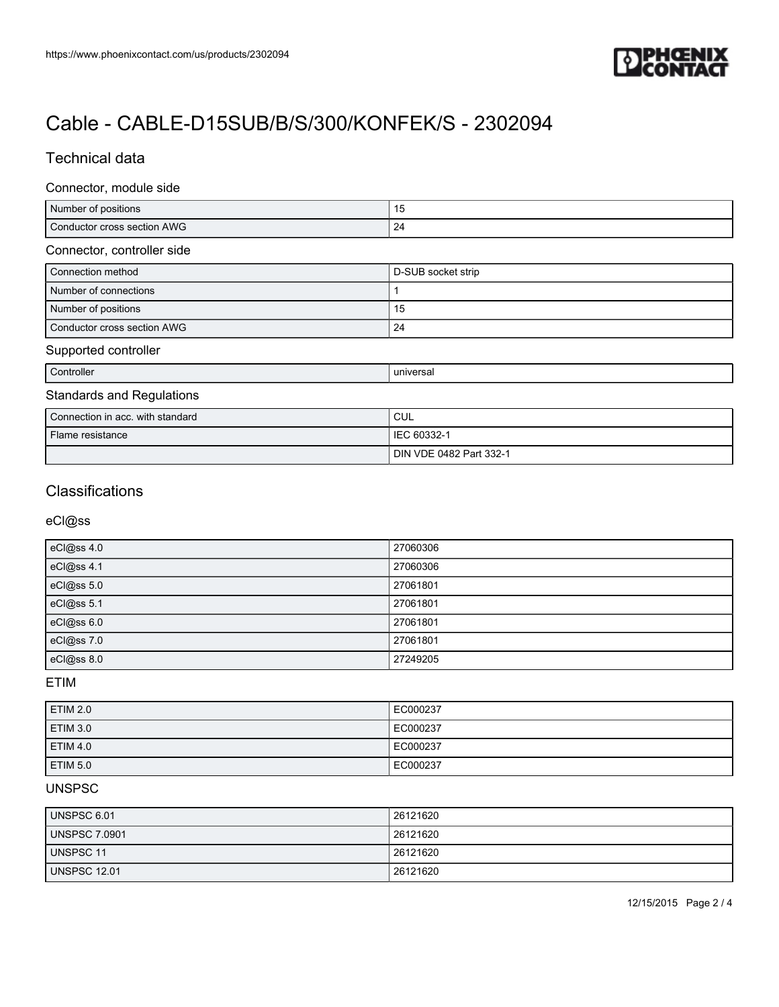

# [Cable - CABLE-D15SUB/B/S/300/KONFEK/S - 2302094](https://www.phoenixcontact.com/us/products/2302094)

# Technical data

### Connector, module side

| Number of positions         | ∪ו      |
|-----------------------------|---------|
| Conductor cross section AWG | ∽<br>-4 |

## Connector, controller side

| Connection method           | D-SUB socket strip |
|-----------------------------|--------------------|
| Number of connections       |                    |
| Number of positions         | -15                |
| Conductor cross section AWG | 24                 |

### Supported controller

| Controller                       | universal   |  |
|----------------------------------|-------------|--|
| <b>Standards and Regulations</b> |             |  |
| Connection in acc. with standard | <b>CUL</b>  |  |
| Flame resistance                 | IEC 60332-1 |  |

DIN VDE 0482 Part 332-1

# **Classifications**

### eCl@ss

| eCl@ss 4.0 | 27060306 |
|------------|----------|
| eCl@ss 4.1 | 27060306 |
| eCl@ss 5.0 | 27061801 |
| eCl@ss 5.1 | 27061801 |
| eCl@ss 6.0 | 27061801 |
| eCl@ss 7.0 | 27061801 |
| eCl@ss 8.0 | 27249205 |

### ETIM

| <b>ETIM 2.0</b> | EC000237 |
|-----------------|----------|
| <b>ETIM 3.0</b> | EC000237 |
| <b>ETIM 4.0</b> | EC000237 |
| ETIM 5.0        | EC000237 |

#### UNSPSC

| UNSPSC 6.01         | 26121620 |
|---------------------|----------|
| UNSPSC 7.0901       | 26121620 |
| <b>UNSPSC 11</b>    | 26121620 |
| <b>UNSPSC 12.01</b> | 26121620 |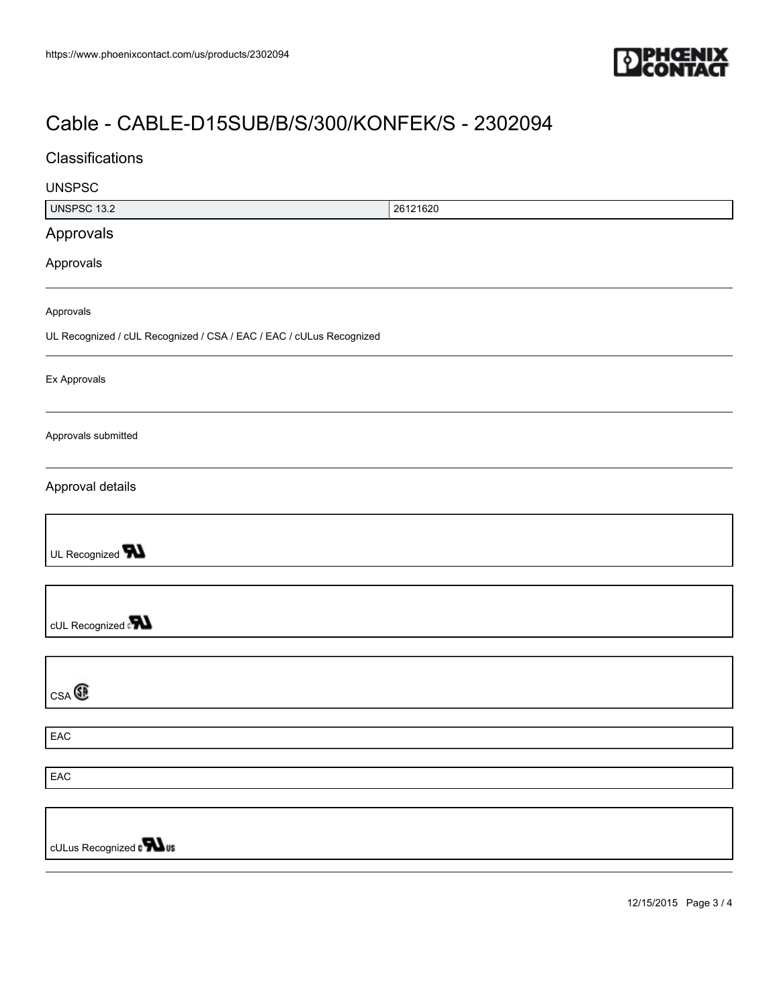

# [Cable - CABLE-D15SUB/B/S/300/KONFEK/S - 2302094](https://www.phoenixcontact.com/us/products/2302094)

| Classifications                                                     |          |
|---------------------------------------------------------------------|----------|
| <b>UNSPSC</b>                                                       |          |
| <b>UNSPSC 13.2</b>                                                  | 26121620 |
| Approvals                                                           |          |
| Approvals                                                           |          |
| Approvals                                                           |          |
| UL Recognized / cUL Recognized / CSA / EAC / EAC / cULus Recognized |          |
| Ex Approvals                                                        |          |
| Approvals submitted                                                 |          |
| Approval details                                                    |          |
| UL Recognized <b>W</b>                                              |          |
| cUL Recognized                                                      |          |
| CSA                                                                 |          |
| EAC                                                                 |          |
|                                                                     |          |
| EAC                                                                 |          |
|                                                                     |          |
| cULus Recognized $\sqrt{\phantom{a}}\blacksquare$ us                |          |
|                                                                     |          |